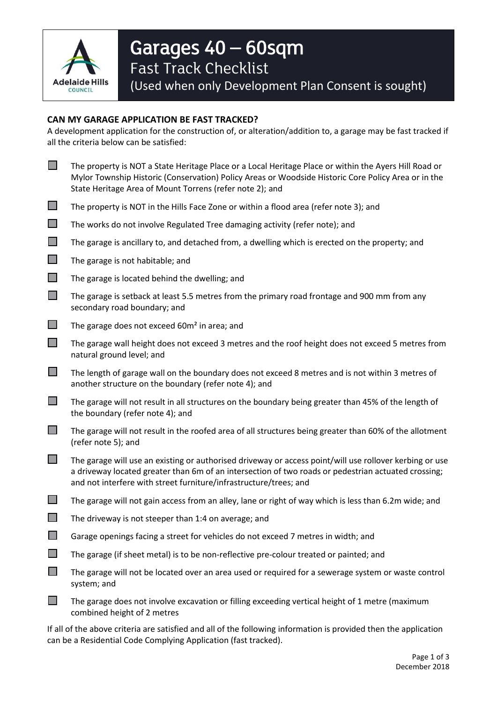

# Garages 40 – 60sqm Fast Track Checklist

(Used when only Development Plan Consent is sought)

## **CAN MY GARAGE APPLICATION BE FAST TRACKED?**

A development application for the construction of, or alteration/addition to, a garage may be fast tracked if all the criteria below can be satisfied:

| <b>The State</b>            | The property is NOT a State Heritage Place or a Local Heritage Place or within the Ayers Hill Road or<br>Mylor Township Historic (Conservation) Policy Areas or Woodside Historic Core Policy Area or in the<br>State Heritage Area of Mount Torrens (refer note 2); and            |
|-----------------------------|-------------------------------------------------------------------------------------------------------------------------------------------------------------------------------------------------------------------------------------------------------------------------------------|
| $\mathcal{L}^{\mathcal{A}}$ | The property is NOT in the Hills Face Zone or within a flood area (refer note 3); and                                                                                                                                                                                               |
| $\mathcal{L}^{\mathcal{A}}$ | The works do not involve Regulated Tree damaging activity (refer note); and                                                                                                                                                                                                         |
| $\Box$                      | The garage is ancillary to, and detached from, a dwelling which is erected on the property; and                                                                                                                                                                                     |
| $\Box$                      | The garage is not habitable; and                                                                                                                                                                                                                                                    |
| $\Box$                      | The garage is located behind the dwelling; and                                                                                                                                                                                                                                      |
| $\mathcal{L}^{\mathcal{A}}$ | The garage is setback at least 5.5 metres from the primary road frontage and 900 mm from any<br>secondary road boundary; and                                                                                                                                                        |
| $\mathcal{L}^{\mathcal{A}}$ | The garage does not exceed 60m <sup>2</sup> in area; and                                                                                                                                                                                                                            |
| $\Box$                      | The garage wall height does not exceed 3 metres and the roof height does not exceed 5 metres from<br>natural ground level; and                                                                                                                                                      |
| $\Box$                      | The length of garage wall on the boundary does not exceed 8 metres and is not within 3 metres of<br>another structure on the boundary (refer note 4); and                                                                                                                           |
| $\Box$                      | The garage will not result in all structures on the boundary being greater than 45% of the length of<br>the boundary (refer note 4); and                                                                                                                                            |
| $\Box$                      | The garage will not result in the roofed area of all structures being greater than 60% of the allotment<br>(refer note 5); and                                                                                                                                                      |
|                             | The garage will use an existing or authorised driveway or access point/will use rollover kerbing or use<br>a driveway located greater than 6m of an intersection of two roads or pedestrian actuated crossing;<br>and not interfere with street furniture/infrastructure/trees; and |
| $\Box$                      | The garage will not gain access from an alley, lane or right of way which is less than 6.2m wide; and                                                                                                                                                                               |
|                             | The driveway is not steeper than 1:4 on average; and                                                                                                                                                                                                                                |
|                             | Garage openings facing a street for vehicles do not exceed 7 metres in width; and                                                                                                                                                                                                   |
|                             | The garage (if sheet metal) is to be non-reflective pre-colour treated or painted; and                                                                                                                                                                                              |
|                             | The garage will not be located over an area used or required for a sewerage system or waste control<br>system; and                                                                                                                                                                  |
|                             | The garage does not involve excavation or filling exceeding vertical height of 1 metre (maximum<br>combined height of 2 metres                                                                                                                                                      |

If all of the above criteria are satisfied and all of the following information is provided then the application can be a Residential Code Complying Application (fast tracked).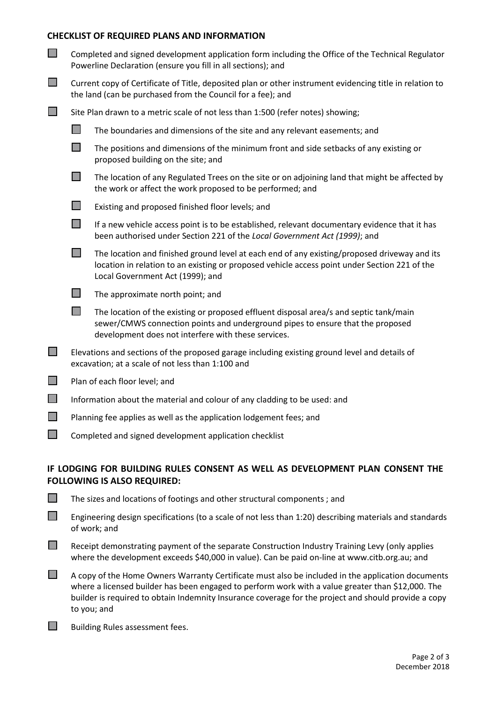#### **CHECKLIST OF REQUIRED PLANS AND INFORMATION**

| $\Box$         | Completed and signed development application form including the Office of the Technical Regulator<br>Powerline Declaration (ensure you fill in all sections); and       |                                                                                                                                                                                                                                   |  |  |
|----------------|-------------------------------------------------------------------------------------------------------------------------------------------------------------------------|-----------------------------------------------------------------------------------------------------------------------------------------------------------------------------------------------------------------------------------|--|--|
| $\mathbb{R}^n$ | Current copy of Certificate of Title, deposited plan or other instrument evidencing title in relation to<br>the land (can be purchased from the Council for a fee); and |                                                                                                                                                                                                                                   |  |  |
| $\mathbb{Z}^2$ | Site Plan drawn to a metric scale of not less than 1:500 (refer notes) showing;                                                                                         |                                                                                                                                                                                                                                   |  |  |
|                | $\Box$                                                                                                                                                                  | The boundaries and dimensions of the site and any relevant easements; and                                                                                                                                                         |  |  |
|                |                                                                                                                                                                         | The positions and dimensions of the minimum front and side setbacks of any existing or<br>proposed building on the site; and                                                                                                      |  |  |
|                | $\mathcal{L}_{\mathcal{A}}$                                                                                                                                             | The location of any Regulated Trees on the site or on adjoining land that might be affected by<br>the work or affect the work proposed to be performed; and                                                                       |  |  |
|                | $\mathcal{L}_{\mathcal{A}}$                                                                                                                                             | Existing and proposed finished floor levels; and                                                                                                                                                                                  |  |  |
|                | $\Box$                                                                                                                                                                  | If a new vehicle access point is to be established, relevant documentary evidence that it has<br>been authorised under Section 221 of the Local Government Act (1999); and                                                        |  |  |
|                | $\mathbb{R}^n$                                                                                                                                                          | The location and finished ground level at each end of any existing/proposed driveway and its<br>location in relation to an existing or proposed vehicle access point under Section 221 of the<br>Local Government Act (1999); and |  |  |
|                | П                                                                                                                                                                       | The approximate north point; and                                                                                                                                                                                                  |  |  |
|                | H                                                                                                                                                                       | The location of the existing or proposed effluent disposal area/s and septic tank/main<br>sewer/CMWS connection points and underground pipes to ensure that the proposed<br>development does not interfere with these services.   |  |  |
| $\Box$         | Elevations and sections of the proposed garage including existing ground level and details of<br>excavation; at a scale of not less than 1:100 and                      |                                                                                                                                                                                                                                   |  |  |
| $\Box$         | Plan of each floor level; and                                                                                                                                           |                                                                                                                                                                                                                                   |  |  |
| $\Box$         | Information about the material and colour of any cladding to be used: and                                                                                               |                                                                                                                                                                                                                                   |  |  |
| H              | Planning fee applies as well as the application lodgement fees; and                                                                                                     |                                                                                                                                                                                                                                   |  |  |

Completed and signed development application checklist

 $\Box$  The sizes and locations of footings and other structural components : and

### **IF LODGING FOR BUILDING RULES CONSENT AS WELL AS DEVELOPMENT PLAN CONSENT THE FOLLOWING IS ALSO REQUIRED:**

| $\mathcal{L}^{\mathcal{A}}$ | Engineering design specifications (to a scale of not less than 1:20) describing materials and standards<br>of work: and |  |
|-----------------------------|-------------------------------------------------------------------------------------------------------------------------|--|

- $\Box$  Receipt demonstrating payment of the separate Construction Industry Training Levy (only applies where the development exceeds \$40,000 in value). Can be paid on-line at [www.citb.org.au;](http://www.citb.org.au/) and
- $\Box$  A copy of the Home Owners Warranty Certificate must also be included in the application documents where a licensed builder has been engaged to perform work with a value greater than \$12,000. The builder is required to obtain Indemnity Insurance coverage for the project and should provide a copy to you; and
- $\Box$  Building Rules assessment fees.